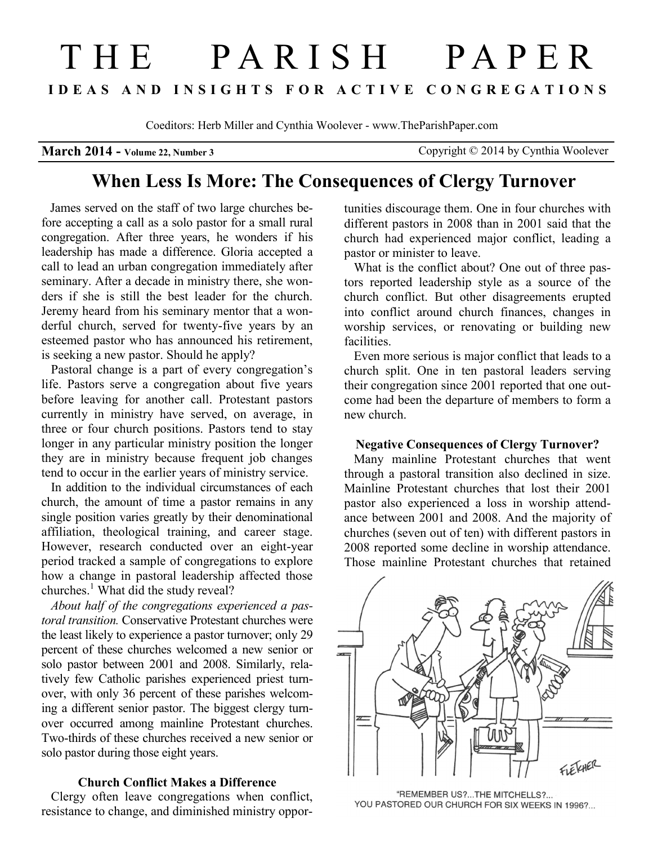# THE PARISH PAPER **I D E A S A N D I N S I G H T S F O R A C T I V E C O N G R E G A T I O N S**

Coeditors: Herb Miller and Cynthia Woolever - www.TheParishPaper.com

**March 2014 - Volume 22, Number 3** Copyright © 2014 by Cynthia Woolever

# **When Less Is More: The Consequences of Clergy Turnover**

 James served on the staff of two large churches before accepting a call as a solo pastor for a small rural congregation. After three years, he wonders if his leadership has made a difference. Gloria accepted a call to lead an urban congregation immediately after seminary. After a decade in ministry there, she wonders if she is still the best leader for the church. Jeremy heard from his seminary mentor that a wonderful church, served for twenty-five years by an esteemed pastor who has announced his retirement, is seeking a new pastor. Should he apply?

Pastoral change is a part of every congregation's life. Pastors serve a congregation about five years before leaving for another call. Protestant pastors currently in ministry have served, on average, in three or four church positions. Pastors tend to stay longer in any particular ministry position the longer they are in ministry because frequent job changes tend to occur in the earlier years of ministry service.

In addition to the individual circumstances of each church, the amount of time a pastor remains in any single position varies greatly by their denominational affiliation, theological training, and career stage. However, research conducted over an eight-year period tracked a sample of congregations to explore how a change in pastoral leadership affected those churches.<sup>1</sup> What did the study reveal?

*About half of the congregations experienced a pastoral transition.* Conservative Protestant churches were the least likely to experience a pastor turnover; only 29 percent of these churches welcomed a new senior or solo pastor between 2001 and 2008. Similarly, relatively few Catholic parishes experienced priest turnover, with only 36 percent of these parishes welcoming a different senior pastor. The biggest clergy turnover occurred among mainline Protestant churches. Two-thirds of these churches received a new senior or solo pastor during those eight years.

# **Church Conflict Makes a Difference**

 Clergy often leave congregations when conflict, resistance to change, and diminished ministry opportunities discourage them. One in four churches with different pastors in 2008 than in 2001 said that the church had experienced major conflict, leading a pastor or minister to leave.

What is the conflict about? One out of three pastors reported leadership style as a source of the church conflict. But other disagreements erupted into conflict around church finances, changes in worship services, or renovating or building new facilities.

Even more serious is major conflict that leads to a church split. One in ten pastoral leaders serving their congregation since 2001 reported that one outcome had been the departure of members to form a new church.

#### **Negative Consequences of Clergy Turnover?**

 Many mainline Protestant churches that went through a pastoral transition also declined in size. Mainline Protestant churches that lost their 2001 pastor also experienced a loss in worship attendance between 2001 and 2008. And the majority of churches (seven out of ten) with different pastors in 2008 reported some decline in worship attendance. Those mainline Protestant churches that retained



"REMEMBER US?...THE MITCHELLS?... YOU PASTORED OUR CHURCH FOR SIX WEEKS IN 1996?...